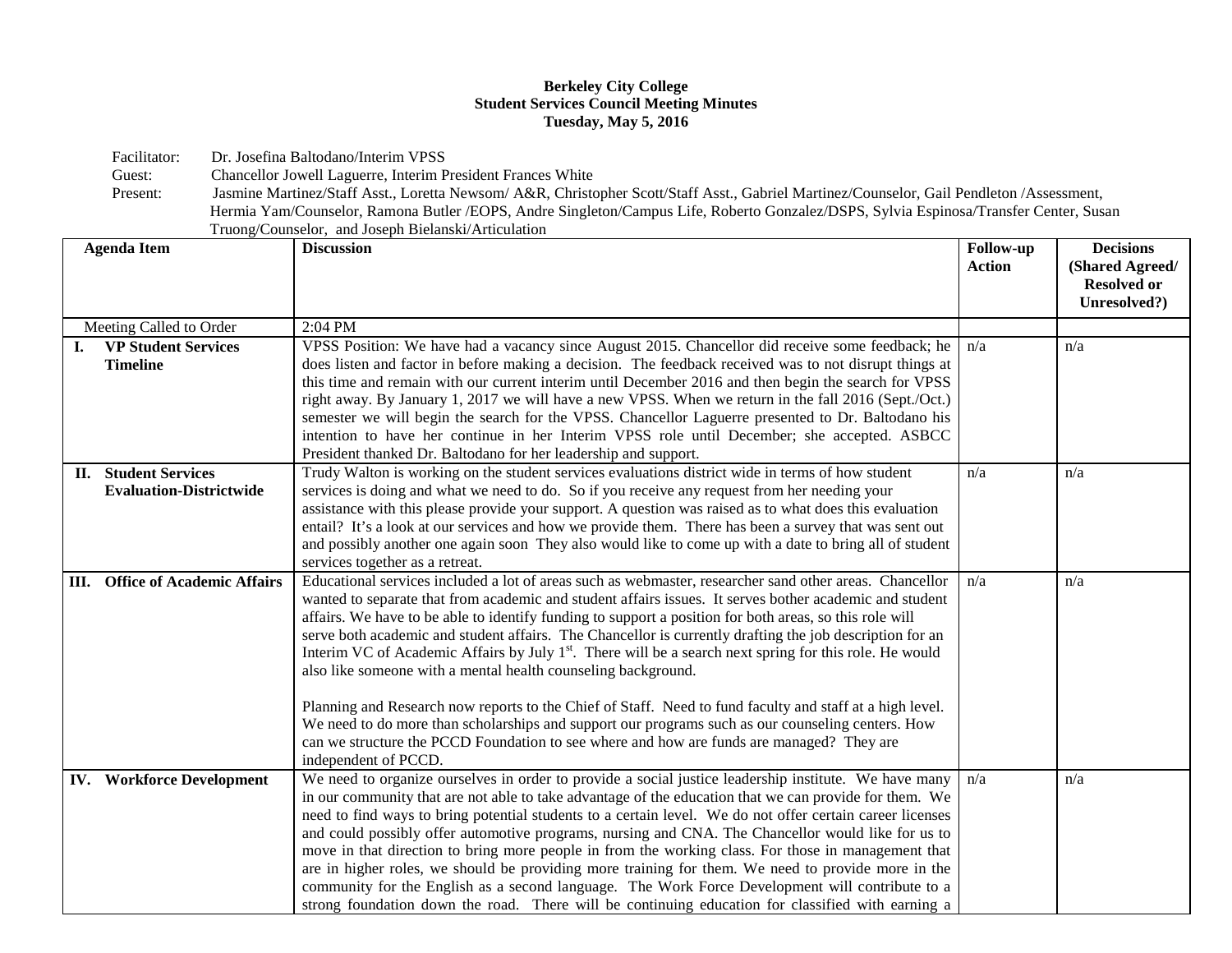## **Berkeley City College Student Services Council Meeting Minutes Tuesday, May 5, 2016**

Facilitator: Dr. Josefina Baltodano/Interim VPSS<br>Guest: Chancellor Jowell Laguerre, Interim P

Chancellor Jowell Laguerre, Interim President Frances White

Present: Jasmine Martinez/Staff Asst., Loretta Newsom/ A&R, Christopher Scott/Staff Asst., Gabriel Martinez/Counselor, Gail Pendleton /Assessment, Hermia Yam/Counselor, Ramona Butler /EOPS, Andre Singleton/Campus Life, Roberto Gonzalez/DSPS, Sylvia Espinosa/Transfer Center, Susan Truong/Counselor, and Joseph Bielanski/Articulation

| <b>Agenda Item</b>                                            | <b>Discussion</b>                                                                                                                                                                                                                                                                                                                                                                                                                                                                                                                                                                                                                                                                                                                                                                                                                                                                                                                                                       | Follow-up<br><b>Action</b> | <b>Decisions</b><br>(Shared Agreed/<br><b>Resolved or</b><br>Unresolved?) |
|---------------------------------------------------------------|-------------------------------------------------------------------------------------------------------------------------------------------------------------------------------------------------------------------------------------------------------------------------------------------------------------------------------------------------------------------------------------------------------------------------------------------------------------------------------------------------------------------------------------------------------------------------------------------------------------------------------------------------------------------------------------------------------------------------------------------------------------------------------------------------------------------------------------------------------------------------------------------------------------------------------------------------------------------------|----------------------------|---------------------------------------------------------------------------|
| Meeting Called to Order                                       | 2:04 PM                                                                                                                                                                                                                                                                                                                                                                                                                                                                                                                                                                                                                                                                                                                                                                                                                                                                                                                                                                 |                            |                                                                           |
| <b>VP Student Services</b><br><b>Timeline</b>                 | VPSS Position: We have had a vacancy since August 2015. Chancellor did receive some feedback; he<br>does listen and factor in before making a decision. The feedback received was to not disrupt things at<br>this time and remain with our current interim until December 2016 and then begin the search for VPSS<br>right away. By January 1, 2017 we will have a new VPSS. When we return in the fall 2016 (Sept./Oct.)<br>semester we will begin the search for the VPSS. Chancellor Laguerre presented to Dr. Baltodano his<br>intention to have her continue in her Interim VPSS role until December; she accepted. ASBCC<br>President thanked Dr. Baltodano for her leadership and support.                                                                                                                                                                                                                                                                      | n/a                        | n/a                                                                       |
| <b>II.</b> Student Services<br><b>Evaluation-Districtwide</b> | Trudy Walton is working on the student services evaluations district wide in terms of how student<br>services is doing and what we need to do. So if you receive any request from her needing your<br>assistance with this please provide your support. A question was raised as to what does this evaluation<br>entail? It's a look at our services and how we provide them. There has been a survey that was sent out<br>and possibly another one again soon They also would like to come up with a date to bring all of student<br>services together as a retreat.                                                                                                                                                                                                                                                                                                                                                                                                   | n/a                        | n/a                                                                       |
| <b>III.</b> Office of Academic Affairs                        | Educational services included a lot of areas such as webmaster, researcher sand other areas. Chancellor<br>wanted to separate that from academic and student affairs issues. It serves bother academic and student<br>affairs. We have to be able to identify funding to support a position for both areas, so this role will<br>serve both academic and student affairs. The Chancellor is currently drafting the job description for an<br>Interim VC of Academic Affairs by July 1 <sup>st</sup> . There will be a search next spring for this role. He would<br>also like someone with a mental health counseling background.<br>Planning and Research now reports to the Chief of Staff. Need to fund faculty and staff at a high level.<br>We need to do more than scholarships and support our programs such as our counseling centers. How<br>can we structure the PCCD Foundation to see where and how are funds are managed? They are<br>independent of PCCD. | n/a                        | n/a                                                                       |
| <b>IV.</b> Workforce Development                              | We need to organize ourselves in order to provide a social justice leadership institute. We have many<br>in our community that are not able to take advantage of the education that we can provide for them. We<br>need to find ways to bring potential students to a certain level. We do not offer certain career licenses<br>and could possibly offer automotive programs, nursing and CNA. The Chancellor would like for us to<br>move in that direction to bring more people in from the working class. For those in management that<br>are in higher roles, we should be providing more training for them. We need to provide more in the<br>community for the English as a second language. The Work Force Development will contribute to a<br>strong foundation down the road. There will be continuing education for classified with earning a                                                                                                                 | n/a                        | n/a                                                                       |